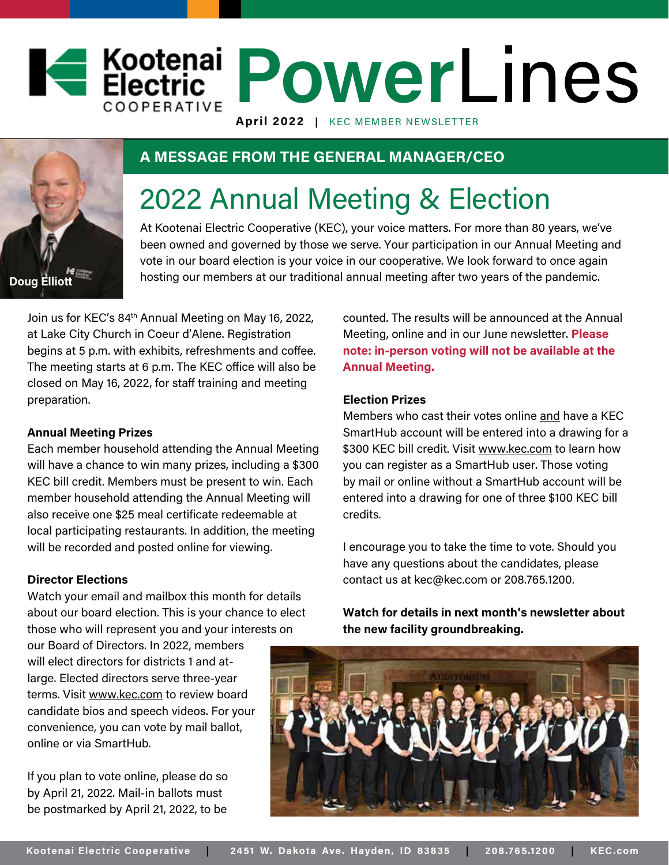# **Power** Lines **April 2022 |** KEC MEMBER NEWSLETTER



### **A MESSAGE FROM THE GENERAL MANAGER/CEO**

# 2022 Annual Meeting & Election

At Kootenai Electric Cooperative (KEC), your voice matters. For more than 80 years, we've been owned and governed by those we serve. Your participation in our Annual Meeting and vote in our board election is your voice in our cooperative. We look forward to once again hosting our members at our traditional annual meeting after two years of the pandemic.

Join us for KEC's 84<sup>th</sup> Annual Meeting on May 16, 2022, at Lake City Church in Coeur d'Alene. Registration begins at 5 p.m. with exhibits, refreshments and coffee. The meeting starts at 6 p.m. The KEC office will also be closed on May 16, 2022, for staff training and meeting preparation.

#### **Annual Meeting Prizes**

Each member household attending the Annual Meeting will have a chance to win many prizes, including a \$300 KEC bill credit. Members must be present to win. Each member household attending the Annual Meeting will also receive one \$25 meal certificate redeemable at local participating restaurants. In addition, the meeting will be recorded and posted online for viewing.

#### **Director Elections**

Watch your email and mailbox this month for details about our board election. This is your chance to elect those who will represent you and your interests on

our Board of Directors. In 2022, members will elect directors for districts 1 and atlarge. Elected directors serve three-year terms. Visit www.kec.com to review board candidate bios and speech videos. For your convenience, you can vote by mail ballot, online or via SmartHub.

If you plan to vote online, please do so by April 21, 2022. Mail-in ballots must be postmarked by April 21, 2022, to be

counted. The results will be announced at the Annual Meeting, online and in our June newsletter. **Please note: in-person voting will not be available at the Annual Meeting.** 

#### **Election Prizes**

Members who cast their votes online and have a KEC SmartHub account will be entered into a drawing for a \$300 KEC bill credit. Visit www.kec.com to learn how you can register as a SmartHub user. Those voting by mail or online without a SmartHub account will be entered into a drawing for one of three \$100 KEC bill credits.

I encourage you to take the time to vote. Should you have any questions about the candidates, please contact us at kec@kec.com or 208.765.1200.

**Watch for details in next month's newsletter about the new facility groundbreaking.**

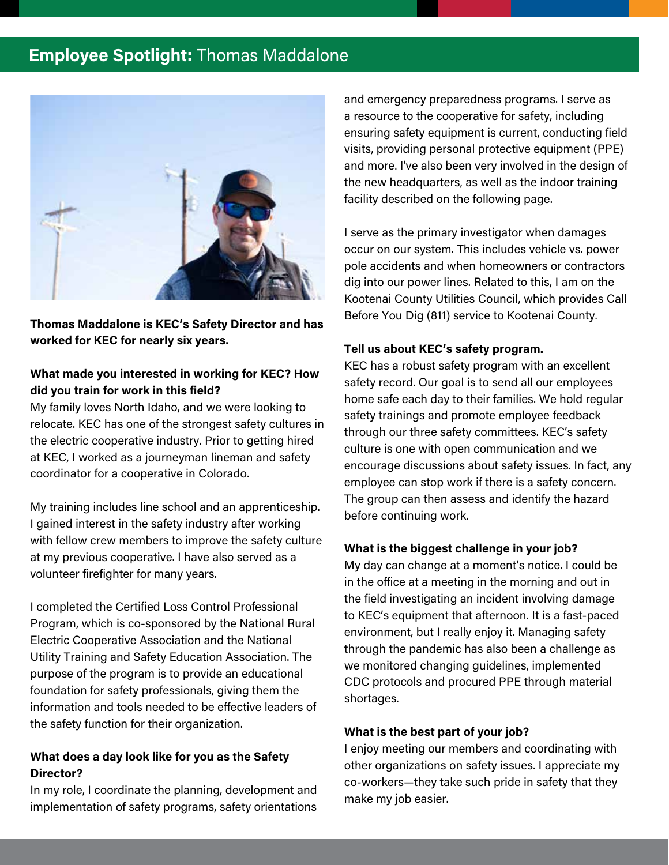# **Employee Spotlight:** Thomas Maddalone



**Thomas Maddalone is KEC's Safety Director and has worked for KEC for nearly six years.**

#### **What made you interested in working for KEC? How did you train for work in this field?**

My family loves North Idaho, and we were looking to relocate. KEC has one of the strongest safety cultures in the electric cooperative industry. Prior to getting hired at KEC, I worked as a journeyman lineman and safety coordinator for a cooperative in Colorado.

My training includes line school and an apprenticeship. I gained interest in the safety industry after working with fellow crew members to improve the safety culture at my previous cooperative. I have also served as a volunteer firefighter for many years.

I completed the Certified Loss Control Professional Program, which is co-sponsored by the National Rural Electric Cooperative Association and the National Utility Training and Safety Education Association. The purpose of the program is to provide an educational foundation for safety professionals, giving them the information and tools needed to be effective leaders of the safety function for their organization.

#### **What does a day look like for you as the Safety Director?**

In my role, I coordinate the planning, development and implementation of safety programs, safety orientations and emergency preparedness programs. I serve as a resource to the cooperative for safety, including ensuring safety equipment is current, conducting field visits, providing personal protective equipment (PPE) and more. I've also been very involved in the design of the new headquarters, as well as the indoor training facility described on the following page.

I serve as the primary investigator when damages occur on our system. This includes vehicle vs. power pole accidents and when homeowners or contractors dig into our power lines. Related to this, I am on the Kootenai County Utilities Council, which provides Call Before You Dig (811) service to Kootenai County.

#### **Tell us about KEC's safety program.**

KEC has a robust safety program with an excellent safety record. Our goal is to send all our employees home safe each day to their families. We hold regular safety trainings and promote employee feedback through our three safety committees. KEC's safety culture is one with open communication and we encourage discussions about safety issues. In fact, any employee can stop work if there is a safety concern. The group can then assess and identify the hazard before continuing work.

#### **What is the biggest challenge in your job?**

My day can change at a moment's notice. I could be in the office at a meeting in the morning and out in the field investigating an incident involving damage to KEC's equipment that afternoon. It is a fast-paced environment, but I really enjoy it. Managing safety through the pandemic has also been a challenge as we monitored changing guidelines, implemented CDC protocols and procured PPE through material shortages.

#### **What is the best part of your job?**

I enjoy meeting our members and coordinating with other organizations on safety issues. I appreciate my co-workers—they take such pride in safety that they make my job easier.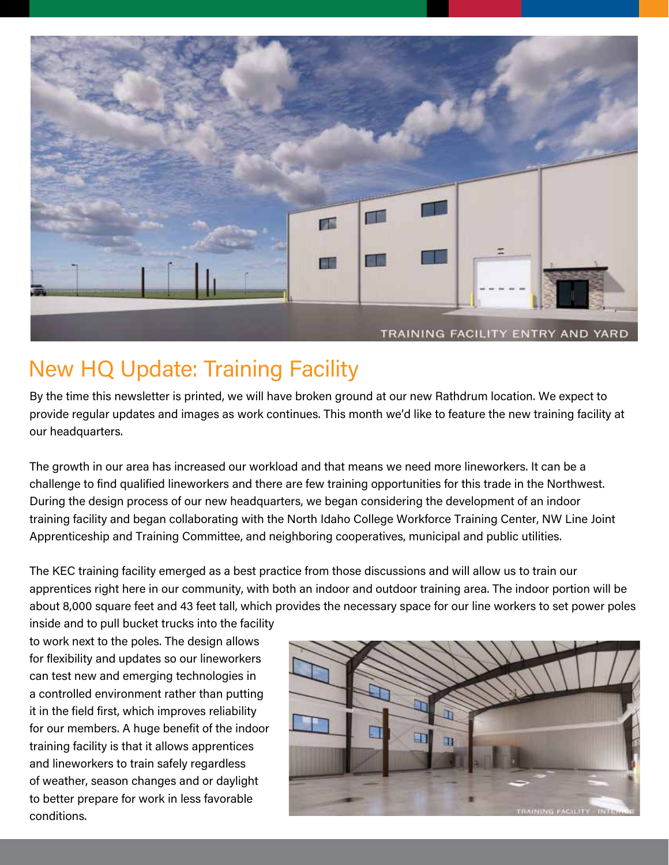

# New HQ Update: Training Facility

By the time this newsletter is printed, we will have broken ground at our new Rathdrum location. We expect to provide regular updates and images as work continues. This month we'd like to feature the new training facility at our headquarters.

The growth in our area has increased our workload and that means we need more lineworkers. It can be a challenge to find qualified lineworkers and there are few training opportunities for this trade in the Northwest. During the design process of our new headquarters, we began considering the development of an indoor training facility and began collaborating with the North Idaho College Workforce Training Center, NW Line Joint Apprenticeship and Training Committee, and neighboring cooperatives, municipal and public utilities.

The KEC training facility emerged as a best practice from those discussions and will allow us to train our apprentices right here in our community, with both an indoor and outdoor training area. The indoor portion will be about 8,000 square feet and 43 feet tall, which provides the necessary space for our line workers to set power poles

inside and to pull bucket trucks into the facility to work next to the poles. The design allows for flexibility and updates so our lineworkers can test new and emerging technologies in a controlled environment rather than putting it in the field first, which improves reliability for our members. A huge benefit of the indoor training facility is that it allows apprentices and lineworkers to train safely regardless of weather, season changes and or daylight to better prepare for work in less favorable conditions.